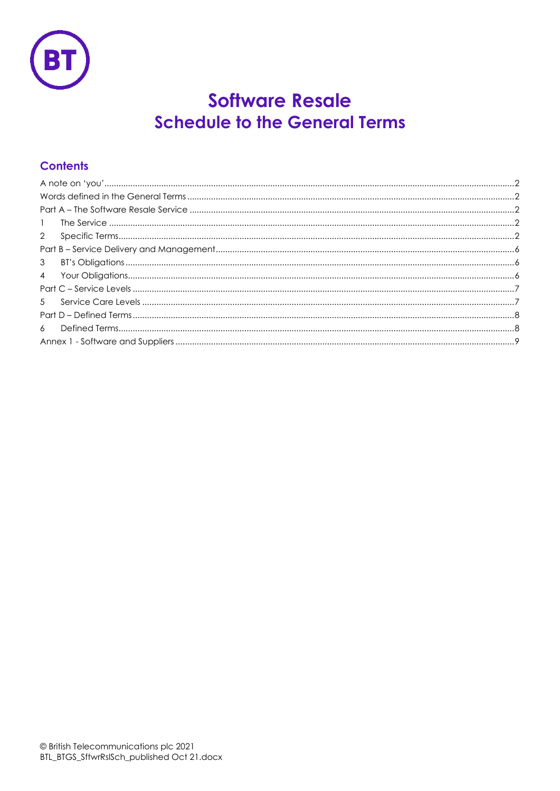

# **Software Resale Schedule to the General Terms**

# **Contents**

| $\mathbf{1}$   |
|----------------|
|                |
|                |
| 3 <sup>7</sup> |
|                |
|                |
|                |
|                |
|                |
|                |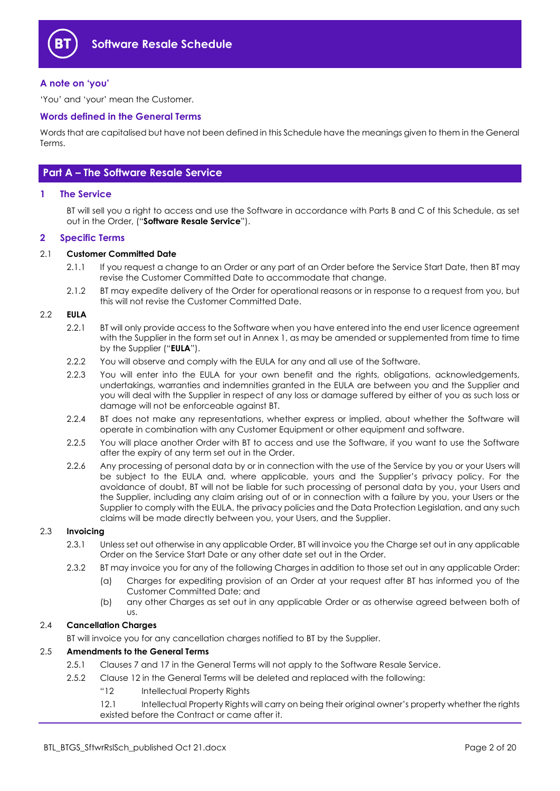

#### **A note on 'you'**

'You' and 'your' mean the Customer.

#### **Words defined in the General Terms**

Words that are capitalised but have not been defined in this Schedule have the meanings given to them in the General Terms.

# **Part A – The Software Resale Service**

#### **1 The Service**

BT will sell you a right to access and use the Software in accordance with Parts B and C of this Schedule, as set out in the Order, ("**Software Resale Service**").

#### **2 Specific Terms**

#### 2.1 **Customer Committed Date**

- 2.1.1 If you request a change to an Order or any part of an Order before the Service Start Date, then BT may revise the Customer Committed Date to accommodate that change.
- 2.1.2 BT may expedite delivery of the Order for operational reasons or in response to a request from you, but this will not revise the Customer Committed Date.

#### 2.2 **EULA**

- 2.2.1 BT will only provide access to the Software when you have entered into the end user licence agreement with the Supplier in the form set out in Annex 1, as may be amended or supplemented from time to time by the Supplier ("**EULA**").
- 2.2.2 You will observe and comply with the EULA for any and all use of the Software.
- 2.2.3 You will enter into the EULA for your own benefit and the rights, obligations, acknowledgements, undertakings, warranties and indemnities granted in the EULA are between you and the Supplier and you will deal with the Supplier in respect of any loss or damage suffered by either of you as such loss or damage will not be enforceable against BT.
- 2.2.4 BT does not make any representations, whether express or implied, about whether the Software will operate in combination with any Customer Equipment or other equipment and software.
- 2.2.5 You will place another Order with BT to access and use the Software, if you want to use the Software after the expiry of any term set out in the Order.
- 2.2.6 Any processing of personal data by or in connection with the use of the Service by you or your Users will be subject to the EULA and, where applicable, yours and the Supplier's privacy policy. For the avoidance of doubt, BT will not be liable for such processing of personal data by you, your Users and the Supplier, including any claim arising out of or in connection with a failure by you, your Users or the Supplier to comply with the EULA, the privacy policies and the Data Protection Legislation, and any such claims will be made directly between you, your Users, and the Supplier.

#### 2.3 **Invoicing**

- 2.3.1 Unless set out otherwise in any applicable Order, BT will invoice you the Charge set out in any applicable Order on the Service Start Date or any other date set out in the Order.
- 2.3.2 BT may invoice you for any of the following Charges in addition to those set out in any applicable Order:
	- (a) Charges for expediting provision of an Order at your request after BT has informed you of the Customer Committed Date; and
	- (b) any other Charges as set out in any applicable Order or as otherwise agreed between both of us.

#### 2.4 **Cancellation Charges**

BT will invoice you for any cancellation charges notified to BT by the Supplier.

#### 2.5 **Amendments to the General Terms**

- 2.5.1 Clauses 7 and 17 in the General Terms will not apply to the Software Resale Service.
- 2.5.2 Clause 12 in the General Terms will be deleted and replaced with the following:
	- "12 Intellectual Property Rights
	- 12.1 Intellectual Property Rights will carry on being their original owner's property whether the rights existed before the Contract or came after it.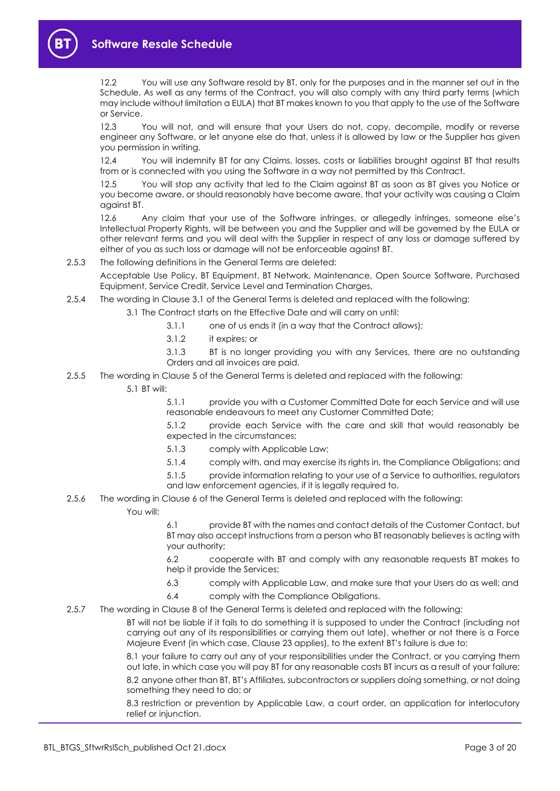

12.2 You will use any Software resold by BT, only for the purposes and in the manner set out in the Schedule. As well as any terms of the Contract, you will also comply with any third party terms (which may include without limitation a EULA) that BT makes known to you that apply to the use of the Software or Service.

12.3 You will not, and will ensure that your Users do not, copy, decompile, modify or reverse engineer any Software, or let anyone else do that, unless it is allowed by law or the Supplier has given you permission in writing.

12.4 You will indemnify BT for any Claims, losses, costs or liabilities brought against BT that results from or is connected with you using the Software in a way not permitted by this Contract.

12.5 You will stop any activity that led to the Claim against BT as soon as BT gives you Notice or you become aware, or should reasonably have become aware, that your activity was causing a Claim against BT.

12.6 Any claim that your use of the Software infringes, or allegedly infringes, someone else's Intellectual Property Rights, will be between you and the Supplier and will be governed by the EULA or other relevant terms and you will deal with the Supplier in respect of any loss or damage suffered by either of you as such loss or damage will not be enforceable against BT.

2.5.3 The following definitions in the General Terms are deleted:

Acceptable Use Policy, BT Equipment, BT Network, Maintenance, Open Source Software, Purchased Equipment, Service Credit, Service Level and Termination Charges,

- 2.5.4 The wording in Clause 3.1 of the General Terms is deleted and replaced with the following:
	- 3.1 The Contract starts on the Effective Date and will carry on until:
		- 3.1.1 one of us ends it (in a way that the Contract allows);
		- 3.1.2 it expires; or

3.1.3 BT is no longer providing you with any Services, there are no outstanding Orders and all invoices are paid.

- 2.5.5 The wording in Clause 5 of the General Terms is deleted and replaced with the following:
	- 5.1 BT will:

5.1.1 provide you with a Customer Committed Date for each Service and will use reasonable endeavours to meet any Customer Committed Date;

5.1.2 provide each Service with the care and skill that would reasonably be expected in the circumstances;

- 5.1.3 comply with Applicable Law;
- 5.1.4 comply with, and may exercise its rights in, the Compliance Obligations; and
- 5.1.5 provide information relating to your use of a Service to authorities, regulators and law enforcement agencies, if it is legally required to.
- 2.5.6 The wording in Clause 6 of the General Terms is deleted and replaced with the following: You will:

6.1 provide BT with the names and contact details of the Customer Contact, but BT may also accept instructions from a person who BT reasonably believes is acting with your authority;

6.2 cooperate with BT and comply with any reasonable requests BT makes to help it provide the Services;

- 6.3 comply with Applicable Law, and make sure that your Users do as well; and
- 6.4 comply with the Compliance Obligations.
- 2.5.7 The wording in Clause 8 of the General Terms is deleted and replaced with the following:

BT will not be liable if it fails to do something it is supposed to under the Contract (including not carrying out any of its responsibilities or carrying them out late), whether or not there is a Force Majeure Event (in which case, Clause 23 applies), to the extent BT's failure is due to:

8.1 your failure to carry out any of your responsibilities under the Contract, or you carrying them out late, in which case you will pay BT for any reasonable costs BT incurs as a result of your failure; 8.2 anyone other than BT, BT's Affiliates, subcontractors or suppliers doing something, or not doing

something they need to do; or

8.3 restriction or prevention by Applicable Law, a court order, an application for interlocutory relief or injunction.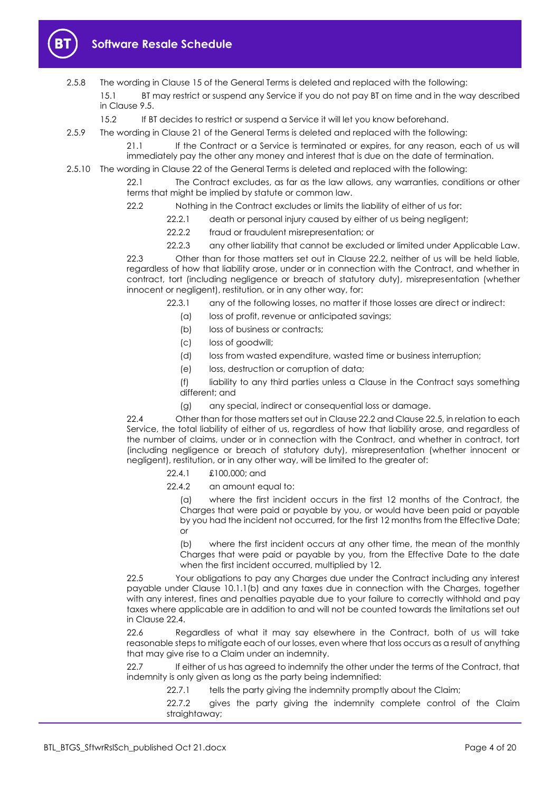

- 2.5.8 The wording in Clause 15 of the General Terms is deleted and replaced with the following: 15.1 BT may restrict or suspend any Service if you do not pay BT on time and in the way described in Clause 9.5.
	- 15.2 If BT decides to restrict or suspend a Service it will let you know beforehand.
- 2.5.9 The wording in Clause 21 of the General Terms is deleted and replaced with the following:

21.1 If the Contract or a Service is terminated or expires, for any reason, each of us will immediately pay the other any money and interest that is due on the date of termination.

2.5.10 The wording in Clause 22 of the General Terms is deleted and replaced with the following:

22.1 The Contract excludes, as far as the law allows, any warranties, conditions or other terms that might be implied by statute or common law.

- 22.2 Nothing in the Contract excludes or limits the liability of either of us for:
	- 22.2.1 death or personal injury caused by either of us being negligent;
		- 22.2.2 fraud or fraudulent misrepresentation; or
	- 22.2.3 any other liability that cannot be excluded or limited under Applicable Law.

22.3 Other than for those matters set out in Clause 22.2, neither of us will be held liable, regardless of how that liability arose, under or in connection with the Contract, and whether in contract, tort (including negligence or breach of statutory duty), misrepresentation (whether innocent or negligent), restitution, or in any other way, for:

- 22.3.1 any of the following losses, no matter if those losses are direct or indirect:
	- (a) loss of profit, revenue or anticipated savings;
	- (b) loss of business or contracts;
	- (c) loss of goodwill;
	- (d) loss from wasted expenditure, wasted time or business interruption;
	- (e) loss, destruction or corruption of data;

(f) liability to any third parties unless a Clause in the Contract says something different; and

(g) any special, indirect or consequential loss or damage.

22.4 Other than for those matters set out in Clause 22.2 and Clause 22.5, in relation to each Service, the total liability of either of us, regardless of how that liability arose, and regardless of the number of claims, under or in connection with the Contract, and whether in contract, tort (including negligence or breach of statutory duty), misrepresentation (whether innocent or negligent), restitution, or in any other way, will be limited to the greater of:

- 22.4.1 £100,000; and
- 22.4.2 an amount equal to:

(a) where the first incident occurs in the first 12 months of the Contract, the Charges that were paid or payable by you, or would have been paid or payable by you had the incident not occurred, for the first 12 months from the Effective Date; or

(b) where the first incident occurs at any other time, the mean of the monthly Charges that were paid or payable by you, from the Effective Date to the date when the first incident occurred, multiplied by 12.

22.5 Your obligations to pay any Charges due under the Contract including any interest payable under Clause 10.1.1(b) and any taxes due in connection with the Charges, together with any interest, fines and penalties payable due to your failure to correctly withhold and pay taxes where applicable are in addition to and will not be counted towards the limitations set out in Clause 22.4.

22.6 Regardless of what it may say elsewhere in the Contract, both of us will take reasonable steps to mitigate each of our losses, even where that loss occurs as a result of anything that may give rise to a Claim under an indemnity.

22.7 If either of us has agreed to indemnify the other under the terms of the Contract, that indemnity is only given as long as the party being indemnified:

22.7.1 tells the party giving the indemnity promptly about the Claim;

22.7.2 gives the party giving the indemnity complete control of the Claim straightaway;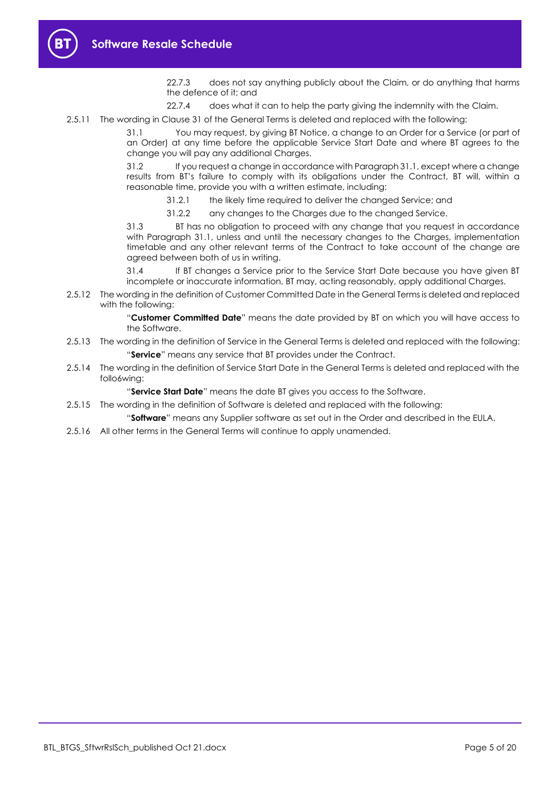22.7.3 does not say anything publicly about the Claim, or do anything that harms the defence of it; and

22.7.4 does what it can to help the party giving the indemnity with the Claim.

2.5.11 The wording in Clause 31 of the General Terms is deleted and replaced with the following:

31.1 You may request, by giving BT Notice, a change to an Order for a Service (or part of an Order) at any time before the applicable Service Start Date and where BT agrees to the change you will pay any additional Charges.

31.2 If you request a change in accordance with Paragraph 31.1, except where a change results from BT's failure to comply with its obligations under the Contract, BT will, within a reasonable time, provide you with a written estimate, including:

31.2.1 the likely time required to deliver the changed Service; and

31.2.2 any changes to the Charges due to the changed Service.

31.3 BT has no obligation to proceed with any change that you request in accordance with Paragraph 31.1, unless and until the necessary changes to the Charges, implementation timetable and any other relevant terms of the Contract to take account of the change are agreed between both of us in writing.

31.4 If BT changes a Service prior to the Service Start Date because you have given BT incomplete or inaccurate information, BT may, acting reasonably, apply additional Charges.

2.5.12 The wording in the definition of Customer Committed Date in the General Terms is deleted and replaced with the following:

> "**Customer Committed Date**" means the date provided by BT on which you will have access to the Software.

- 2.5.13 The wording in the definition of Service in the General Terms is deleted and replaced with the following: "**Service**" means any service that BT provides under the Contract.
- 2.5.14 The wording in the definition of Service Start Date in the General Terms is deleted and replaced with the follo6wing:

"**Service Start Date**" means the date BT gives you access to the Software.

- 2.5.15 The wording in the definition of Software is deleted and replaced with the following:
	- "**Software**" means any Supplier software as set out in the Order and described in the EULA.
- 2.5.16 All other terms in the General Terms will continue to apply unamended.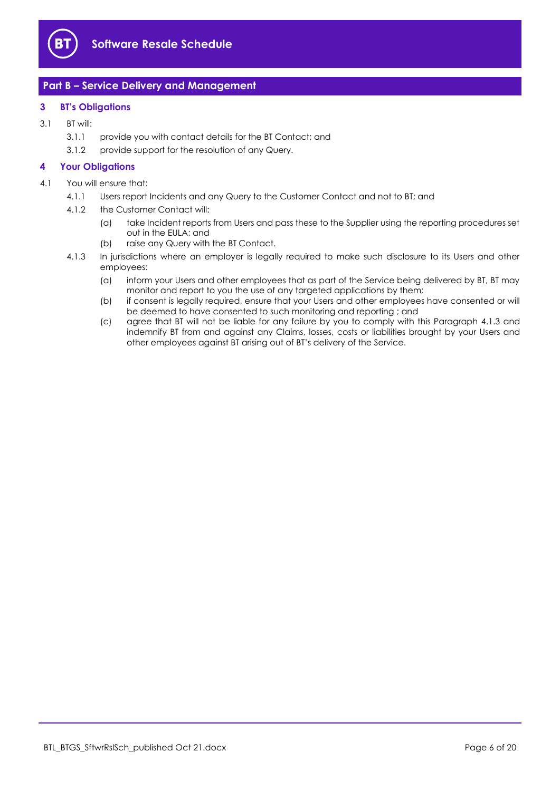

# **Part B – Service Delivery and Management**

#### **3 BT's Obligations**

- 3.1 BT will:
	- 3.1.1 provide you with contact details for the BT Contact; and
	- 3.1.2 provide support for the resolution of any Query.

#### **4 Your Obligations**

- 4.1 You will ensure that:
	- 4.1.1 Users report Incidents and any Query to the Customer Contact and not to BT; and
	- 4.1.2 the Customer Contact will:
		- (a) take Incident reports from Users and pass these to the Supplier using the reporting procedures set out in the EULA; and
		- (b) raise any Query with the BT Contact.
	- 4.1.3 In jurisdictions where an employer is legally required to make such disclosure to its Users and other employees:
		- (a) inform your Users and other employees that as part of the Service being delivered by BT, BT may monitor and report to you the use of any targeted applications by them;
		- (b) if consent is legally required, ensure that your Users and other employees have consented or will be deemed to have consented to such monitoring and reporting ; and
		- (c) agree that BT will not be liable for any failure by you to comply with this Paragraph 4.1.3 and indemnify BT from and against any Claims, losses, costs or liabilities brought by your Users and other employees against BT arising out of BT's delivery of the Service.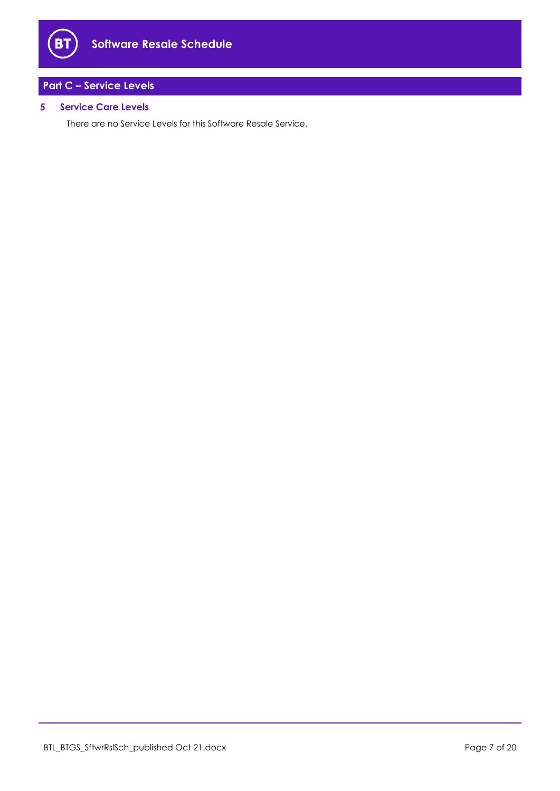

# **Part C – Service Levels**

## **5 Service Care Levels**

There are no Service Levels for this Software Resale Service.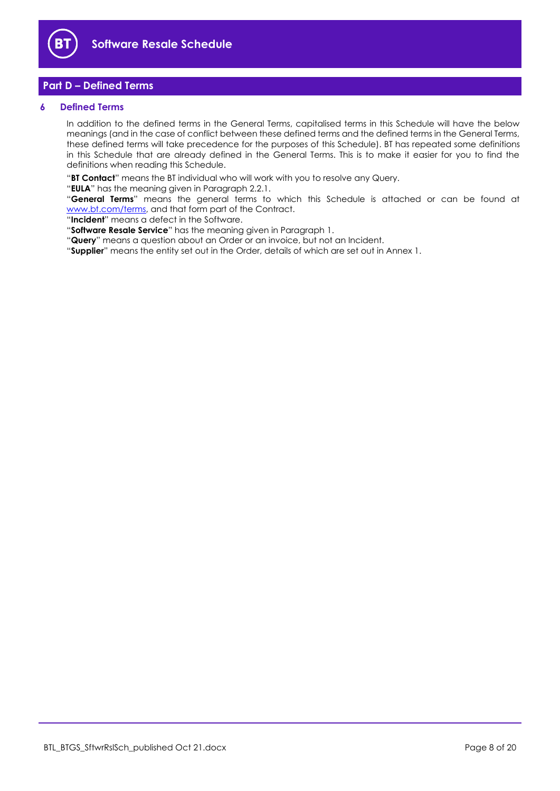

# **Part D – Defined Terms**

#### **6 Defined Terms**

In addition to the defined terms in the General Terms, capitalised terms in this Schedule will have the below meanings (and in the case of conflict between these defined terms and the defined terms in the General Terms, these defined terms will take precedence for the purposes of this Schedule). BT has repeated some definitions in this Schedule that are already defined in the General Terms. This is to make it easier for you to find the definitions when reading this Schedule.

"**BT Contact**" means the BT individual who will work with you to resolve any Query.

"**EULA**" has the meaning given in Paragraph 2.2.1.

"**General Terms**" means the general terms to which this Schedule is attached or can be found at [www.bt.com/terms,](http://www.bt.com/terms) and that form part of the Contract.

"**Incident**" means a defect in the Software.

"**Software Resale Service**" has the meaning given in Paragraph 1.

"**Query**" means a question about an Order or an invoice, but not an Incident.

"**Supplier**" means the entity set out in the Order, details of which are set out in Annex 1.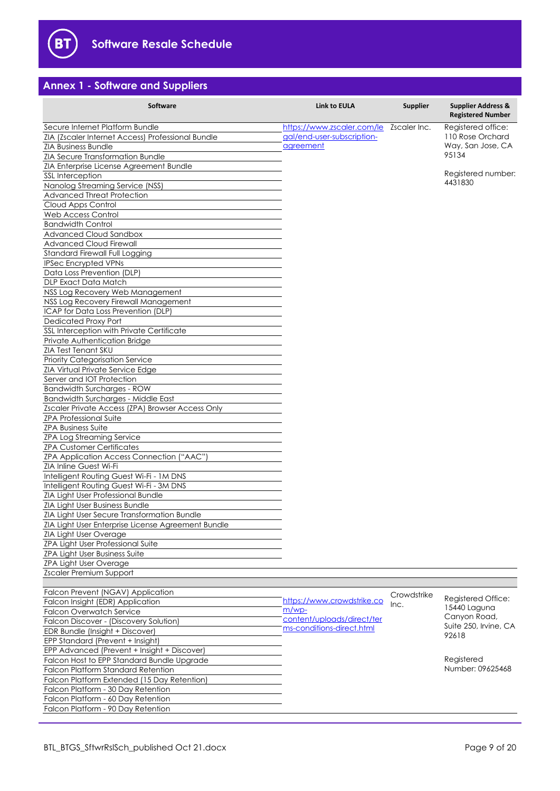

# **Annex 1 - Software and Suppliers**

| Software                                                                                                                                                                                                                                                                                                                                                                                                                                                                                                                                                                                                                                                                                                                                                                                                                                                                                                                                                                                                                                                                                                                                                                                                                                                                                                                                                                                                                                                                                                                                                                                  | Link to EULA                                                                                                             | <b>Supplier</b>                                                                      | <b>Supplier Address &amp;</b><br><b>Registered Number</b>                                             |
|-------------------------------------------------------------------------------------------------------------------------------------------------------------------------------------------------------------------------------------------------------------------------------------------------------------------------------------------------------------------------------------------------------------------------------------------------------------------------------------------------------------------------------------------------------------------------------------------------------------------------------------------------------------------------------------------------------------------------------------------------------------------------------------------------------------------------------------------------------------------------------------------------------------------------------------------------------------------------------------------------------------------------------------------------------------------------------------------------------------------------------------------------------------------------------------------------------------------------------------------------------------------------------------------------------------------------------------------------------------------------------------------------------------------------------------------------------------------------------------------------------------------------------------------------------------------------------------------|--------------------------------------------------------------------------------------------------------------------------|--------------------------------------------------------------------------------------|-------------------------------------------------------------------------------------------------------|
| Secure Internet Platform Bundle<br>ZIA (Zscaler Internet Access) Professional Bundle<br><b>ZIA Business Bundle</b><br>ZIA Secure Transformation Bundle<br>ZIA Enterprise License Agreement Bundle<br>SSL Interception<br>Nanolog Streaming Service (NSS)<br><b>Advanced Threat Protection</b><br>Cloud Apps Control<br>Web Access Control<br><b>Bandwidth Control</b><br>Advanced Cloud Sandbox<br><b>Advanced Cloud Firewall</b><br>Standard Firewall Full Logging<br><b>IPSec Encrypted VPNs</b><br>Data Loss Prevention (DLP)<br><b>DLP Exact Data Match</b><br>NSS Log Recovery Web Management<br>NSS Log Recovery Firewall Management<br>ICAP for Data Loss Prevention (DLP)<br><b>Dedicated Proxy Port</b><br>SSL Interception with Private Certificate<br>Private Authentication Bridge<br>ZIA Test Tenant SKU<br><b>Priority Categorisation Service</b><br>ZIA Virtual Private Service Edge<br>Server and IOT Protection<br><b>Bandwidth Surcharges - ROW</b><br><b>Bandwidth Surcharges - Middle East</b><br>Zscaler Private Access (ZPA) Browser Access Only<br><b>ZPA Professional Suite</b><br><b>ZPA Business Suite</b><br><b>ZPA Log Streaming Service</b><br><b>ZPA Customer Certificates</b><br><b>ZPA Application Access Connection ("AAC")</b><br>ZIA Inline Guest Wi-Fi<br>Intelligent Routing Guest Wi-Fi - 1M DNS<br>Intelligent Routing Guest Wi-Fi - 3M DNS<br>ZIA Light User Professional Bundle<br>ZIA Light User Business Bundle<br>ZIA Light User Secure Transformation Bundle<br>ZIA Light User Enterprise License Agreement Bundle<br>ZIA Light User Overage | https://www.zscaler.com/le<br>gal/end-user-subscription-<br>agreement                                                    | Zscaler Inc.                                                                         | Registered office:<br>110 Rose Orchard<br>Way, San Jose, CA<br>95134<br>Registered number:<br>4431830 |
| ZPA Light User Professional Suite<br><b>ZPA Light User Business Suite</b><br><b>ZPA Light User Overage</b>                                                                                                                                                                                                                                                                                                                                                                                                                                                                                                                                                                                                                                                                                                                                                                                                                                                                                                                                                                                                                                                                                                                                                                                                                                                                                                                                                                                                                                                                                |                                                                                                                          |                                                                                      |                                                                                                       |
| Zscaler Premium Support                                                                                                                                                                                                                                                                                                                                                                                                                                                                                                                                                                                                                                                                                                                                                                                                                                                                                                                                                                                                                                                                                                                                                                                                                                                                                                                                                                                                                                                                                                                                                                   |                                                                                                                          |                                                                                      |                                                                                                       |
| Falcon Prevent (NGAV) Application<br>Falcon Insight (EDR) Application<br><b>Falcon Overwatch Service</b><br>Falcon Discover - (Discovery Solution)<br>EDR Bundle (Insight + Discover)<br>EPP Standard (Prevent + Insight)                                                                                                                                                                                                                                                                                                                                                                                                                                                                                                                                                                                                                                                                                                                                                                                                                                                                                                                                                                                                                                                                                                                                                                                                                                                                                                                                                                 | Crowdstrike<br>https://www.crowdstrike.co<br>Inc.<br>$m/wp$ -<br>content/uploads/direct/ter<br>ms-conditions-direct.html | Registered Office:<br>15440 Laguna<br>Canyon Road,<br>Suite 250, Irvine, CA<br>92618 |                                                                                                       |
| EPP Advanced (Prevent + Insight + Discover)<br>Falcon Host to EPP Standard Bundle Upgrade<br>Falcon Platform Standard Retention<br>Falcon Platform Extended (15 Day Retention)<br>Falcon Platform - 30 Day Retention<br>Falcon Platform - 60 Day Retention<br>Falcon Platform - 90 Day Retention                                                                                                                                                                                                                                                                                                                                                                                                                                                                                                                                                                                                                                                                                                                                                                                                                                                                                                                                                                                                                                                                                                                                                                                                                                                                                          |                                                                                                                          |                                                                                      | Registered<br>Number: 09625468                                                                        |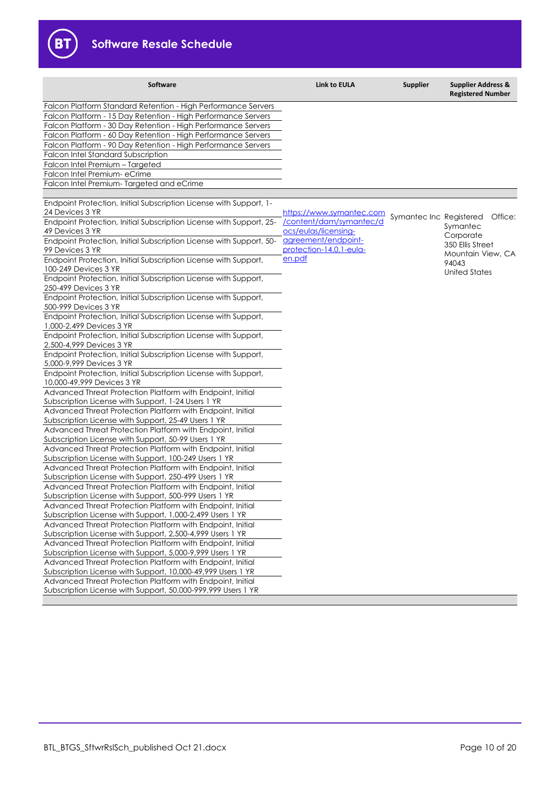

| <b>Software</b>                                                                                                         | <b>Link to EULA</b>                             | <b>Supplier</b>         | <b>Supplier Address &amp;</b><br><b>Registered Number</b> |
|-------------------------------------------------------------------------------------------------------------------------|-------------------------------------------------|-------------------------|-----------------------------------------------------------|
| Falcon Platform Standard Retention - High Performance Servers                                                           |                                                 |                         |                                                           |
| Falcon Platform - 15 Day Retention - High Performance Servers                                                           |                                                 |                         |                                                           |
| Falcon Platform - 30 Day Retention - High Performance Servers                                                           |                                                 |                         |                                                           |
| Falcon Platform - 60 Day Retention - High Performance Servers                                                           |                                                 |                         |                                                           |
| Falcon Platform - 90 Day Retention - High Performance Servers                                                           |                                                 |                         |                                                           |
| Falcon Intel Standard Subscription                                                                                      |                                                 |                         |                                                           |
| Falcon Intel Premium - Targeted                                                                                         |                                                 |                         |                                                           |
| Falcon Intel Premium- eCrime                                                                                            |                                                 |                         |                                                           |
| Falcon Intel Premium-Targeted and eCrime                                                                                |                                                 |                         |                                                           |
|                                                                                                                         |                                                 |                         |                                                           |
| Endpoint Protection, Initial Subscription License with Support, 1-                                                      |                                                 |                         |                                                           |
| 24 Devices 3 YR                                                                                                         | https://www.symantec.com                        | Symantec Inc Registered | Office:                                                   |
| Endpoint Protection, Initial Subscription License with Support, 25-<br>49 Devices 3 YR                                  | /content/dam/symantec/d<br>ocs/eulas/licensing- |                         | Symantec<br>Corporate                                     |
| Endpoint Protection, Initial Subscription License with Support, 50-                                                     | agreement/endpoint-                             |                         | 350 Ellis Street                                          |
| 99 Devices 3 YR                                                                                                         | protection-14.0.1-eula-                         |                         | Mountain View, CA                                         |
| Endpoint Protection, Initial Subscription License with Support,<br>100-249 Devices 3 YR                                 | en.pdf                                          |                         | 94043<br><b>United States</b>                             |
| Endpoint Protection, Initial Subscription License with Support,                                                         |                                                 |                         |                                                           |
| 250-499 Devices 3 YR                                                                                                    |                                                 |                         |                                                           |
| Endpoint Protection, Initial Subscription License with Support,<br>500-999 Devices 3 YR                                 |                                                 |                         |                                                           |
| Endpoint Protection, Initial Subscription License with Support,                                                         |                                                 |                         |                                                           |
| 1,000-2,499 Devices 3 YR                                                                                                |                                                 |                         |                                                           |
| Endpoint Protection, Initial Subscription License with Support,                                                         |                                                 |                         |                                                           |
| 2,500-4,999 Devices 3 YR<br>Endpoint Protection, Initial Subscription License with Support,                             |                                                 |                         |                                                           |
| 5,000-9,999 Devices 3 YR                                                                                                |                                                 |                         |                                                           |
| Endpoint Protection, Initial Subscription License with Support,<br>10,000-49,999 Devices 3 YR                           |                                                 |                         |                                                           |
| Advanced Threat Protection Platform with Endpoint, Initial                                                              |                                                 |                         |                                                           |
| Subscription License with Support, 1-24 Users 1 YR                                                                      |                                                 |                         |                                                           |
| Advanced Threat Protection Platform with Endpoint, Initial<br>Subscription License with Support, 25-49 Users 1 YR       |                                                 |                         |                                                           |
| Advanced Threat Protection Platform with Endpoint, Initial                                                              |                                                 |                         |                                                           |
| Subscription License with Support, 50-99 Users 1 YR                                                                     |                                                 |                         |                                                           |
| Advanced Threat Protection Platform with Endpoint, Initial                                                              |                                                 |                         |                                                           |
| Subscription License with Support, 100-249 Users 1 YR                                                                   |                                                 |                         |                                                           |
| Advanced Threat Protection Platform with Endpoint, Initial                                                              |                                                 |                         |                                                           |
| Subscription License with Support, 250-499 Users 1 YR                                                                   |                                                 |                         |                                                           |
| Advanced Threat Protection Platform with Endpoint, Initial                                                              |                                                 |                         |                                                           |
| Subscription License with Support, 500-999 Users 1 YR                                                                   |                                                 |                         |                                                           |
| Advanced Threat Protection Platform with Endpoint, Initial                                                              |                                                 |                         |                                                           |
| Subscription License with Support, 1,000-2,499 Users 1 YR                                                               |                                                 |                         |                                                           |
| Advanced Threat Protection Platform with Endpoint, Initial                                                              |                                                 |                         |                                                           |
| Subscription License with Support, 2,500-4,999 Users 1 YR                                                               |                                                 |                         |                                                           |
| Advanced Threat Protection Platform with Endpoint, Initial<br>Subscription License with Support, 5,000-9,999 Users 1 YR |                                                 |                         |                                                           |
| Advanced Threat Protection Platform with Endpoint, Initial                                                              |                                                 |                         |                                                           |
| Subscription License with Support, 10,000-49,999 Users 1 YR                                                             |                                                 |                         |                                                           |
| Advanced Threat Protection Platform with Endpoint, Initial                                                              |                                                 |                         |                                                           |
| Subscription License with Support, 50,000-999,999 Users 1 YR                                                            |                                                 |                         |                                                           |
|                                                                                                                         |                                                 |                         |                                                           |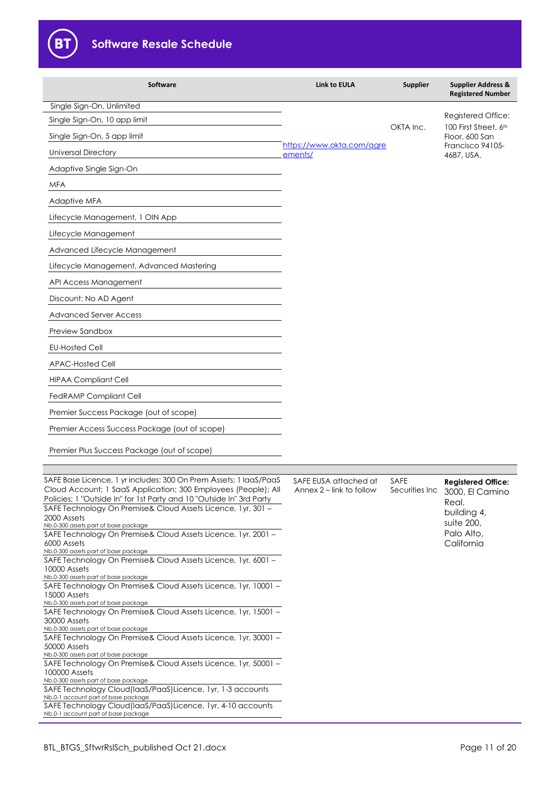

B<sub>1</sub>

| Software                                                                                                                                                                                                                                                                                                                           | <b>Link to EULA</b>                               | <b>Supplier</b>          | <b>Supplier Address &amp;</b><br><b>Registered Number</b>                                       |
|------------------------------------------------------------------------------------------------------------------------------------------------------------------------------------------------------------------------------------------------------------------------------------------------------------------------------------|---------------------------------------------------|--------------------------|-------------------------------------------------------------------------------------------------|
| Single Sign-On, Unlimited<br>Single Sign-On, 10 app limit<br>Single Sign-On, 5 app limit<br><b>Universal Directory</b><br>Adaptive Single Sign-On                                                                                                                                                                                  | https://www.okta.com/agre<br>ements/              | OKTA Inc.                | Registered Office:<br>100 First Street, 6th<br>Floor, 600 San<br>Francisco 94105-<br>4687, USA. |
| <b>MFA</b>                                                                                                                                                                                                                                                                                                                         |                                                   |                          |                                                                                                 |
| Adaptive MFA                                                                                                                                                                                                                                                                                                                       |                                                   |                          |                                                                                                 |
| Lifecycle Management, 1 OIN App                                                                                                                                                                                                                                                                                                    |                                                   |                          |                                                                                                 |
| Lifecycle Management                                                                                                                                                                                                                                                                                                               |                                                   |                          |                                                                                                 |
| Advanced Lifecycle Management                                                                                                                                                                                                                                                                                                      |                                                   |                          |                                                                                                 |
| Lifecycle Management, Advanced Mastering                                                                                                                                                                                                                                                                                           |                                                   |                          |                                                                                                 |
| API Access Management                                                                                                                                                                                                                                                                                                              |                                                   |                          |                                                                                                 |
| Discount: No AD Agent                                                                                                                                                                                                                                                                                                              |                                                   |                          |                                                                                                 |
| <b>Advanced Server Access</b>                                                                                                                                                                                                                                                                                                      |                                                   |                          |                                                                                                 |
| Preview Sandbox                                                                                                                                                                                                                                                                                                                    |                                                   |                          |                                                                                                 |
| <b>EU-Hosted Cell</b>                                                                                                                                                                                                                                                                                                              |                                                   |                          |                                                                                                 |
| <b>APAC-Hosted Cell</b>                                                                                                                                                                                                                                                                                                            |                                                   |                          |                                                                                                 |
| <b>HIPAA Compliant Cell</b>                                                                                                                                                                                                                                                                                                        |                                                   |                          |                                                                                                 |
| <b>FedRAMP Compliant Cell</b>                                                                                                                                                                                                                                                                                                      |                                                   |                          |                                                                                                 |
| Premier Success Package (out of scope)                                                                                                                                                                                                                                                                                             |                                                   |                          |                                                                                                 |
| Premier Access Success Package (out of scope)                                                                                                                                                                                                                                                                                      |                                                   |                          |                                                                                                 |
| Premier Plus Success Package (out of scope)                                                                                                                                                                                                                                                                                        |                                                   |                          |                                                                                                 |
|                                                                                                                                                                                                                                                                                                                                    |                                                   |                          |                                                                                                 |
| SAFE Base Licence, 1 yr includes: 300 On Prem Assets; 1 IaaS/PaaS<br>Cloud Account; 1 SaaS Application; 300 Employees (People); All<br>Policies; 1 "Outside In" for 1st Party and 10 "Outside In" 3rd Party<br>SAFE Technology On Premise& Cloud Assets Licence, 1yr, 301 -<br>2000 Assets<br>Nb.0-300 assets part of base package | SAFE EUSA attached at<br>Annex 2 – link to follow | SAFE<br>Securities Inc   | <b>Registered Office:</b><br>3000, El Camino<br>Real,<br>building 4,<br>suite 200,              |
| SAFE Technology On Premise& Cloud Assets Licence, 1yr, 2001 -<br>6000 Assets<br>Nb.0-300 assets part of base package<br>SAFE Technology On Premise& Cloud Assets Licence, 1yr, 6001 -                                                                                                                                              |                                                   | Palo Alto,<br>California |                                                                                                 |
| 10000 Assets<br>Nb.0-300 assets part of base package<br>SAFE Technology On Premise& Cloud Assets Licence, 1yr, 10001 -<br>15000 Assets<br>Nb.0-300 assets part of base package                                                                                                                                                     |                                                   |                          |                                                                                                 |
| SAFE Technology On Premise& Cloud Assets Licence, 1yr, 15001 -<br>30000 Assets<br>Nb.0-300 assets part of base package                                                                                                                                                                                                             |                                                   |                          |                                                                                                 |
| SAFE Technology On Premise& Cloud Assets Licence, 1yr, 30001 -<br>50000 Assets<br>Nb.0-300 assets part of base package                                                                                                                                                                                                             |                                                   |                          |                                                                                                 |
| SAFE Technology On Premise& Cloud Assets Licence, 1yr, 50001 -<br>100000 Assets<br>Nb.0-300 assets part of base package                                                                                                                                                                                                            |                                                   |                          |                                                                                                 |
| SAFE Technology Cloud(laaS/PaaS)Licence, 1yr, 1-3 accounts<br>Nb.0-1 account part of base package<br>SAFE Technology Cloud(laaS/PaaS)Licence, 1yr, 4-10 accounts<br>Nb.0-1 account part of base package                                                                                                                            |                                                   |                          |                                                                                                 |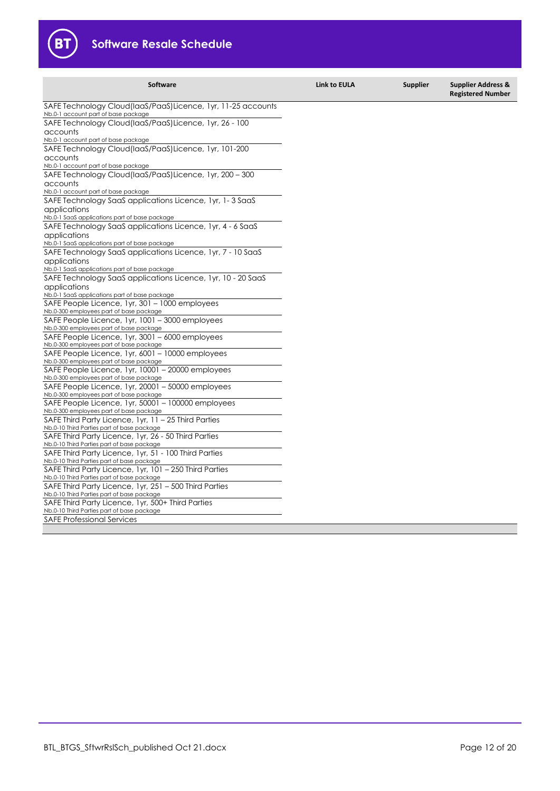

| <b>Software</b>                                                                                 | <b>Link to EULA</b> | <b>Supplier</b> | <b>Supplier Address &amp;</b><br><b>Registered Number</b> |
|-------------------------------------------------------------------------------------------------|---------------------|-----------------|-----------------------------------------------------------|
| SAFE Technology Cloud(laaS/PaaS)Licence, 1yr, 11-25 accounts                                    |                     |                 |                                                           |
| Nb.0-1 account part of base package                                                             |                     |                 |                                                           |
| SAFE Technology Cloud(laaS/PaaS)Licence, 1yr, 26 - 100                                          |                     |                 |                                                           |
| accounts<br>Nb.0-1 account part of base package                                                 |                     |                 |                                                           |
| SAFE Technology Cloud (laaS/PaaS) Licence, 1yr, 101-200                                         |                     |                 |                                                           |
| accounts                                                                                        |                     |                 |                                                           |
| Nb.0-1 account part of base package                                                             |                     |                 |                                                           |
| SAFE Technology Cloud(laaS/PaaS)Licence, 1yr, 200 - 300                                         |                     |                 |                                                           |
| accounts                                                                                        |                     |                 |                                                           |
| Nb.0-1 account part of base package                                                             |                     |                 |                                                           |
| SAFE Technology SaaS applications Licence, 1yr, 1-3 SaaS                                        |                     |                 |                                                           |
| applications                                                                                    |                     |                 |                                                           |
| Nb.0-1 SaaS applications part of base package                                                   |                     |                 |                                                           |
| SAFE Technology SaaS applications Licence, Tyr, 4 - 6 SaaS                                      |                     |                 |                                                           |
| applications                                                                                    |                     |                 |                                                           |
| Nb.0-1 SaaS applications part of base package                                                   |                     |                 |                                                           |
| SAFE Technology SaaS applications Licence, 1yr, 7 - 10 SaaS                                     |                     |                 |                                                           |
| applications                                                                                    |                     |                 |                                                           |
| Nb.0-1 SaaS applications part of base package                                                   |                     |                 |                                                           |
| SAFE Technology SaaS applications Licence, 1yr, 10 - 20 SaaS                                    |                     |                 |                                                           |
| applications                                                                                    |                     |                 |                                                           |
| Nb.0-1 SaaS applications part of base package<br>SAFE People Licence, 1yr, 301 - 1000 employees |                     |                 |                                                           |
| Nb.0-300 employees part of base package                                                         |                     |                 |                                                           |
| SAFE People Licence, 1yr, 1001 – 3000 employees                                                 |                     |                 |                                                           |
| Nb.0-300 employees part of base package                                                         |                     |                 |                                                           |
| SAFE People Licence, 1yr, 3001 – 6000 employees                                                 |                     |                 |                                                           |
| Nb.0-300 employees part of base package                                                         |                     |                 |                                                           |
| SAFE People Licence, 1yr, 6001 - 10000 employees                                                |                     |                 |                                                           |
| Nb.0-300 employees part of base package                                                         |                     |                 |                                                           |
| SAFE People Licence, 1yr, 10001 - 20000 employees                                               |                     |                 |                                                           |
| Nb.0-300 employees part of base package                                                         |                     |                 |                                                           |
| SAFE People Licence, 1yr, 20001 - 50000 employees                                               |                     |                 |                                                           |
| Nb.0-300 employees part of base package                                                         |                     |                 |                                                           |
| SAFE People Licence, 1yr, 50001 - 100000 employees<br>Nb.0-300 employees part of base package   |                     |                 |                                                           |
| SAFE Third Party Licence, 1yr, 11 – 25 Third Parties                                            |                     |                 |                                                           |
| Nb.0-10 Third Parties part of base package                                                      |                     |                 |                                                           |
| SAFE Third Party Licence, 1yr, 26 - 50 Third Parties                                            |                     |                 |                                                           |
| Nb.0-10 Third Parties part of base package                                                      |                     |                 |                                                           |
| SAFE Third Party Licence, 1yr, 51 - 100 Third Parties                                           |                     |                 |                                                           |
| Nb.0-10 Third Parties part of base package                                                      |                     |                 |                                                           |
| SAFE Third Party Licence, 1yr, 101 - 250 Third Parties                                          |                     |                 |                                                           |
| Nb.0-10 Third Parties part of base package                                                      |                     |                 |                                                           |
| SAFE Third Party Licence, 1yr, 251 - 500 Third Parties                                          |                     |                 |                                                           |
| Nb.0-10 Third Parties part of base package                                                      |                     |                 |                                                           |
| SAFE Third Party Licence, 1yr, 500+ Third Parties<br>Nb.0-10 Third Parties part of base package |                     |                 |                                                           |
| <b>SAFE Professional Services</b>                                                               |                     |                 |                                                           |
|                                                                                                 |                     |                 |                                                           |
|                                                                                                 |                     |                 |                                                           |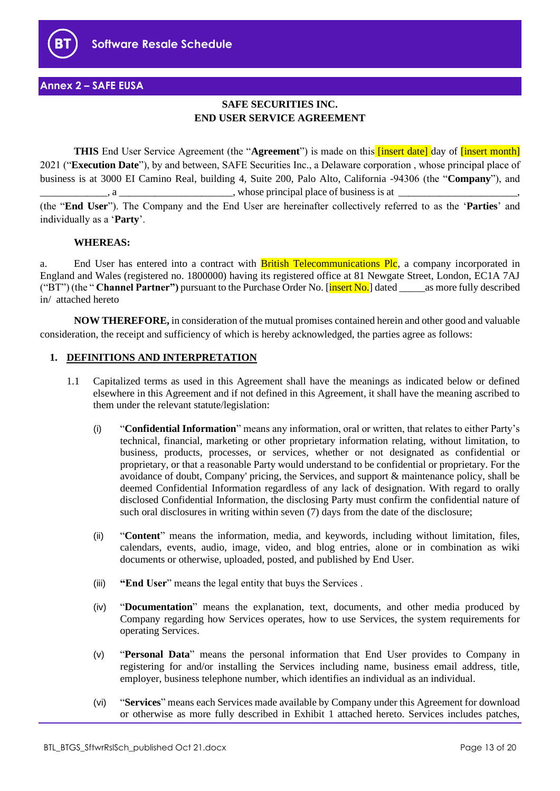

# **Annex 2 – SAFE EUSA**

# **SAFE SECURITIES INC. END USER SERVICE AGREEMENT**

**THIS** End User Service Agreement (the "Agreement") is made on this **[insert date]** day of **[insert month]** 2021 ("**Execution Date**"), by and between, SAFE Securities Inc., a Delaware corporation , whose principal place of business is at 3000 EI Camino Real, building 4, Suite 200, Palo Alto, California -94306 (the "**Company**"), and  $\Box$ , a  $\Box$ (the "**End User**"). The Company and the End User are hereinafter collectively referred to as the '**Parties**' and

## **WHEREAS:**

individually as a '**Party**'.

a. End User has entered into a contract with British Telecommunications Plc, a company incorporated in England and Wales (registered no. 1800000) having its registered office at 81 Newgate Street, London, EC1A 7AJ ("BT") (the " **Channel Partner")** pursuant to the Purchase Order No. [insert No.] dated \_\_\_\_\_as more fully described in/ attached hereto

**NOW THEREFORE,** in consideration of the mutual promises contained herein and other good and valuable consideration, the receipt and sufficiency of which is hereby acknowledged, the parties agree as follows:

## **1. DEFINITIONS AND INTERPRETATION**

- 1.1 Capitalized terms as used in this Agreement shall have the meanings as indicated below or defined elsewhere in this Agreement and if not defined in this Agreement, it shall have the meaning ascribed to them under the relevant statute/legislation:
	- (i) "**Confidential Information**" means any information, oral or written, that relates to either Party's technical, financial, marketing or other proprietary information relating, without limitation, to business, products, processes, or services, whether or not designated as confidential or proprietary, or that a reasonable Party would understand to be confidential or proprietary. For the avoidance of doubt, Company' pricing, the Services, and support & maintenance policy, shall be deemed Confidential Information regardless of any lack of designation. With regard to orally disclosed Confidential Information, the disclosing Party must confirm the confidential nature of such oral disclosures in writing within seven (7) days from the date of the disclosure;
	- (ii) "**Content**" means the information, media, and keywords, including without limitation, files, calendars, events, audio, image, video, and blog entries, alone or in combination as wiki documents or otherwise, uploaded, posted, and published by End User.
	- (iii) **"End User**" means the legal entity that buys the Services .
	- (iv) "**Documentation**" means the explanation, text, documents, and other media produced by Company regarding how Services operates, how to use Services, the system requirements for operating Services.
	- (v) "**Personal Data**" means the personal information that End User provides to Company in registering for and/or installing the Services including name, business email address, title, employer, business telephone number, which identifies an individual as an individual.
	- (vi) "**Services**" means each Services made available by Company under this Agreement for download or otherwise as more fully described in Exhibit 1 attached hereto. Services includes patches,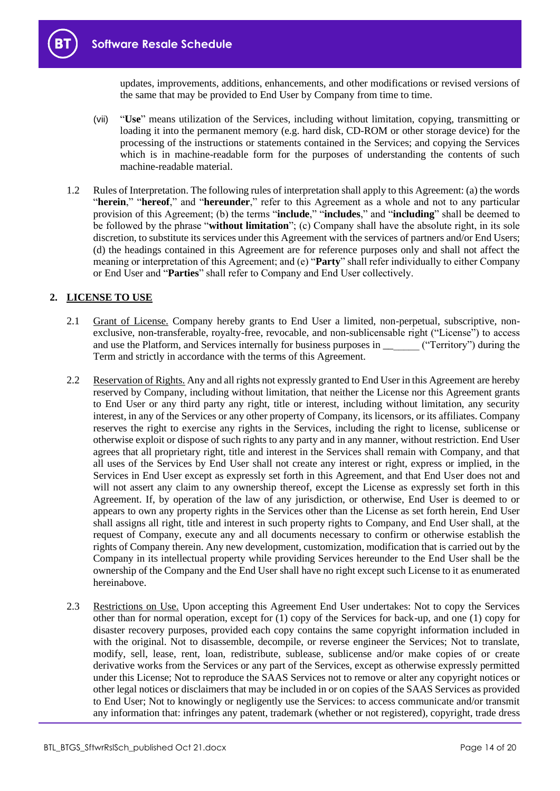updates, improvements, additions, enhancements, and other modifications or revised versions of the same that may be provided to End User by Company from time to time.

- (vii) "**Use**" means utilization of the Services, including without limitation, copying, transmitting or loading it into the permanent memory (e.g. hard disk, CD-ROM or other storage device) for the processing of the instructions or statements contained in the Services; and copying the Services which is in machine-readable form for the purposes of understanding the contents of such machine-readable material.
- 1.2 Rules of Interpretation. The following rules of interpretation shall apply to this Agreement: (a) the words "**herein**," "**hereof**," and "**hereunder**," refer to this Agreement as a whole and not to any particular provision of this Agreement; (b) the terms "**include**," "**includes**," and "**including**" shall be deemed to be followed by the phrase "**without limitation**"; (c) Company shall have the absolute right, in its sole discretion, to substitute its services under this Agreement with the services of partners and/or End Users; (d) the headings contained in this Agreement are for reference purposes only and shall not affect the meaning or interpretation of this Agreement; and (e) "**Party**" shall refer individually to either Company or End User and "**Parties**" shall refer to Company and End User collectively.

# **2. LICENSE TO USE**

- 2.1 Grant of License. Company hereby grants to End User a limited, non-perpetual, subscriptive, nonexclusive, non-transferable, royalty-free, revocable, and non-sublicensable right ("License") to access and use the Platform, and Services internally for business purposes in  $($ "Territory") during the Term and strictly in accordance with the terms of this Agreement.
- 2.2 Reservation of Rights. Any and all rights not expressly granted to End User in this Agreement are hereby reserved by Company, including without limitation, that neither the License nor this Agreement grants to End User or any third party any right, title or interest, including without limitation, any security interest, in any of the Services or any other property of Company, its licensors, or its affiliates. Company reserves the right to exercise any rights in the Services, including the right to license, sublicense or otherwise exploit or dispose of such rights to any party and in any manner, without restriction. End User agrees that all proprietary right, title and interest in the Services shall remain with Company, and that all uses of the Services by End User shall not create any interest or right, express or implied, in the Services in End User except as expressly set forth in this Agreement, and that End User does not and will not assert any claim to any ownership thereof, except the License as expressly set forth in this Agreement. If, by operation of the law of any jurisdiction, or otherwise, End User is deemed to or appears to own any property rights in the Services other than the License as set forth herein, End User shall assigns all right, title and interest in such property rights to Company, and End User shall, at the request of Company, execute any and all documents necessary to confirm or otherwise establish the rights of Company therein. Any new development, customization, modification that is carried out by the Company in its intellectual property while providing Services hereunder to the End User shall be the ownership of the Company and the End User shall have no right except such License to it as enumerated hereinabove.
- 2.3 Restrictions on Use. Upon accepting this Agreement End User undertakes: Not to copy the Services other than for normal operation, except for (1) copy of the Services for back-up, and one (1) copy for disaster recovery purposes, provided each copy contains the same copyright information included in with the original. Not to disassemble, decompile, or reverse engineer the Services; Not to translate, modify, sell, lease, rent, loan, redistribute, sublease, sublicense and/or make copies of or create derivative works from the Services or any part of the Services, except as otherwise expressly permitted under this License; Not to reproduce the SAAS Services not to remove or alter any copyright notices or other legal notices or disclaimers that may be included in or on copies of the SAAS Services as provided to End User; Not to knowingly or negligently use the Services: to access communicate and/or transmit any information that: infringes any patent, trademark (whether or not registered), copyright, trade dress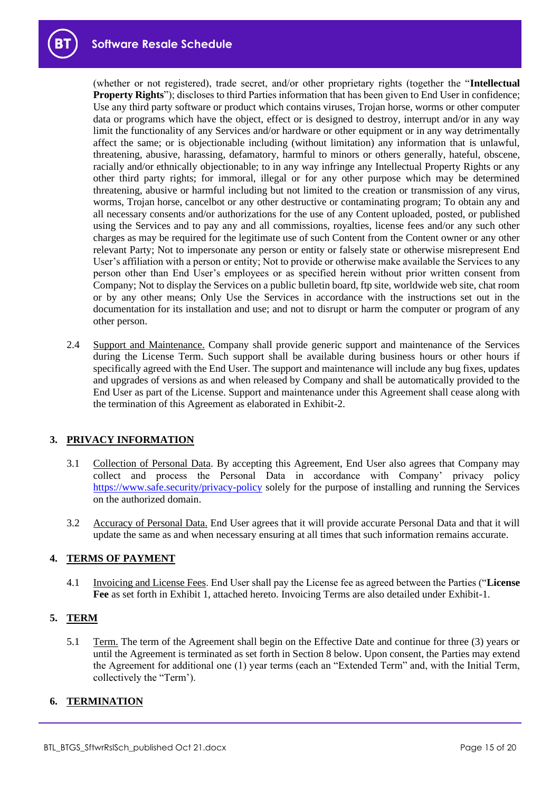

(whether or not registered), trade secret, and/or other proprietary rights (together the "**Intellectual Property Rights**"); discloses to third Parties information that has been given to End User in confidence; Use any third party software or product which contains viruses, Trojan horse, worms or other computer data or programs which have the object, effect or is designed to destroy, interrupt and/or in any way limit the functionality of any Services and/or hardware or other equipment or in any way detrimentally affect the same; or is objectionable including (without limitation) any information that is unlawful, threatening, abusive, harassing, defamatory, harmful to minors or others generally, hateful, obscene, racially and/or ethnically objectionable; to in any way infringe any Intellectual Property Rights or any other third party rights; for immoral, illegal or for any other purpose which may be determined threatening, abusive or harmful including but not limited to the creation or transmission of any virus, worms, Trojan horse, cancelbot or any other destructive or contaminating program; To obtain any and all necessary consents and/or authorizations for the use of any Content uploaded, posted, or published using the Services and to pay any and all commissions, royalties, license fees and/or any such other charges as may be required for the legitimate use of such Content from the Content owner or any other relevant Party; Not to impersonate any person or entity or falsely state or otherwise misrepresent End User's affiliation with a person or entity; Not to provide or otherwise make available the Services to any person other than End User's employees or as specified herein without prior written consent from Company; Not to display the Services on a public bulletin board, ftp site, worldwide web site, chat room or by any other means; Only Use the Services in accordance with the instructions set out in the documentation for its installation and use; and not to disrupt or harm the computer or program of any other person.

2.4 Support and Maintenance. Company shall provide generic support and maintenance of the Services during the License Term. Such support shall be available during business hours or other hours if specifically agreed with the End User. The support and maintenance will include any bug fixes, updates and upgrades of versions as and when released by Company and shall be automatically provided to the End User as part of the License. Support and maintenance under this Agreement shall cease along with the termination of this Agreement as elaborated in Exhibit-2.

# **3. PRIVACY INFORMATION**

- 3.1 Collection of Personal Data. By accepting this Agreement, End User also agrees that Company may collect and process the Personal Data in accordance with Company' privacy policy <https://www.safe.security/privacy-policy> solely for the purpose of installing and running the Services on the authorized domain.
- 3.2 Accuracy of Personal Data. End User agrees that it will provide accurate Personal Data and that it will update the same as and when necessary ensuring at all times that such information remains accurate.

# **4. TERMS OF PAYMENT**

4.1 Invoicing and License Fees. End User shall pay the License fee as agreed between the Parties ("**License Fee** as set forth in Exhibit 1, attached hereto. Invoicing Terms are also detailed under Exhibit-1.

# **5. TERM**

5.1 Term. The term of the Agreement shall begin on the Effective Date and continue for three (3) years or until the Agreement is terminated as set forth in Section 8 below. Upon consent, the Parties may extend the Agreement for additional one (1) year terms (each an "Extended Term" and, with the Initial Term, collectively the "Term').

## **6. TERMINATION**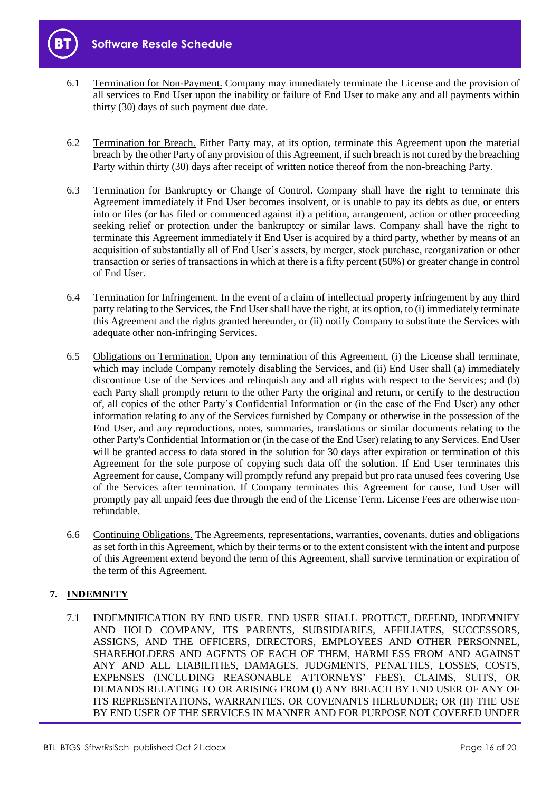



- 6.1 Termination for Non-Payment. Company may immediately terminate the License and the provision of all services to End User upon the inability or failure of End User to make any and all payments within thirty (30) days of such payment due date.
- 6.2 Termination for Breach. Either Party may, at its option, terminate this Agreement upon the material breach by the other Party of any provision of this Agreement, if such breach is not cured by the breaching Party within thirty (30) days after receipt of written notice thereof from the non-breaching Party.
- 6.3 Termination for Bankruptcy or Change of Control. Company shall have the right to terminate this Agreement immediately if End User becomes insolvent, or is unable to pay its debts as due, or enters into or files (or has filed or commenced against it) a petition, arrangement, action or other proceeding seeking relief or protection under the bankruptcy or similar laws. Company shall have the right to terminate this Agreement immediately if End User is acquired by a third party, whether by means of an acquisition of substantially all of End User's assets, by merger, stock purchase, reorganization or other transaction or series of transactions in which at there is a fifty percent (50%) or greater change in control of End User.
- 6.4 Termination for Infringement. In the event of a claim of intellectual property infringement by any third party relating to the Services, the End User shall have the right, at its option, to (i) immediately terminate this Agreement and the rights granted hereunder, or (ii) notify Company to substitute the Services with adequate other non-infringing Services.
- 6.5 Obligations on Termination. Upon any termination of this Agreement, (i) the License shall terminate, which may include Company remotely disabling the Services, and (ii) End User shall (a) immediately discontinue Use of the Services and relinquish any and all rights with respect to the Services; and (b) each Party shall promptly return to the other Party the original and return, or certify to the destruction of, all copies of the other Party's Confidential Information or (in the case of the End User) any other information relating to any of the Services furnished by Company or otherwise in the possession of the End User, and any reproductions, notes, summaries, translations or similar documents relating to the other Party's Confidential Information or (in the case of the End User) relating to any Services. End User will be granted access to data stored in the solution for 30 days after expiration or termination of this Agreement for the sole purpose of copying such data off the solution. If End User terminates this Agreement for cause, Company will promptly refund any prepaid but pro rata unused fees covering Use of the Services after termination. If Company terminates this Agreement for cause, End User will promptly pay all unpaid fees due through the end of the License Term. License Fees are otherwise nonrefundable.
- 6.6 Continuing Obligations. The Agreements, representations, warranties, covenants, duties and obligations as set forth in this Agreement, which by their terms or to the extent consistent with the intent and purpose of this Agreement extend beyond the term of this Agreement, shall survive termination or expiration of the term of this Agreement.

# **7. INDEMNITY**

7.1 INDEMNIFICATION BY END USER. END USER SHALL PROTECT, DEFEND, INDEMNIFY AND HOLD COMPANY, ITS PARENTS, SUBSIDIARIES, AFFILIATES, SUCCESSORS, ASSIGNS, AND THE OFFICERS, DIRECTORS, EMPLOYEES AND OTHER PERSONNEL, SHAREHOLDERS AND AGENTS OF EACH OF THEM, HARMLESS FROM AND AGAINST ANY AND ALL LIABILITIES, DAMAGES, JUDGMENTS, PENALTIES, LOSSES, COSTS, EXPENSES (INCLUDING REASONABLE ATTORNEYS' FEES), CLAIMS, SUITS, OR DEMANDS RELATING TO OR ARISING FROM (I) ANY BREACH BY END USER OF ANY OF ITS REPRESENTATIONS, WARRANTIES. OR COVENANTS HEREUNDER; OR (II) THE USE BY END USER OF THE SERVICES IN MANNER AND FOR PURPOSE NOT COVERED UNDER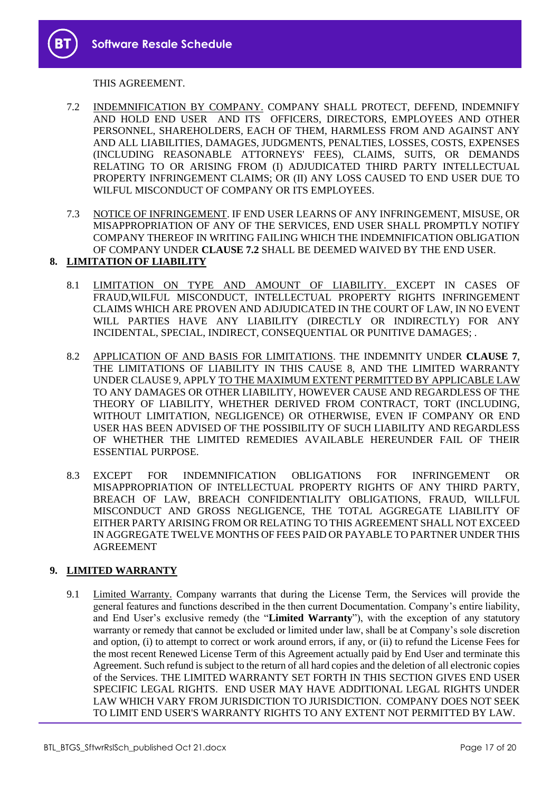THIS AGREEMENT.

- 7.2 INDEMNIFICATION BY COMPANY. COMPANY SHALL PROTECT, DEFEND, INDEMNIFY AND HOLD END USER AND ITS OFFICERS, DIRECTORS, EMPLOYEES AND OTHER PERSONNEL, SHAREHOLDERS, EACH OF THEM, HARMLESS FROM AND AGAINST ANY AND ALL LIABILITIES, DAMAGES, JUDGMENTS, PENALTIES, LOSSES, COSTS, EXPENSES (INCLUDING REASONABLE ATTORNEYS' FEES), CLAIMS, SUITS, OR DEMANDS RELATING TO OR ARISING FROM (I) ADJUDICATED THIRD PARTY INTELLECTUAL PROPERTY INFRINGEMENT CLAIMS; OR (II) ANY LOSS CAUSED TO END USER DUE TO WILFUL MISCONDUCT OF COMPANY OR ITS EMPLOYEES.
- 7.3 NOTICE OF INFRINGEMENT. IF END USER LEARNS OF ANY INFRINGEMENT, MISUSE, OR MISAPPROPRIATION OF ANY OF THE SERVICES, END USER SHALL PROMPTLY NOTIFY COMPANY THEREOF IN WRITING FAILING WHICH THE INDEMNIFICATION OBLIGATION OF COMPANY UNDER **CLAUSE 7.2** SHALL BE DEEMED WAIVED BY THE END USER.

# **8. LIMITATION OF LIABILITY**

- 8.1 LIMITATION ON TYPE AND AMOUNT OF LIABILITY. EXCEPT IN CASES OF FRAUD,WILFUL MISCONDUCT, INTELLECTUAL PROPERTY RIGHTS INFRINGEMENT CLAIMS WHICH ARE PROVEN AND ADJUDICATED IN THE COURT OF LAW, IN NO EVENT WILL PARTIES HAVE ANY LIABILITY (DIRECTLY OR INDIRECTLY) FOR ANY INCIDENTAL, SPECIAL, INDIRECT, CONSEQUENTIAL OR PUNITIVE DAMAGES; .
- 8.2 APPLICATION OF AND BASIS FOR LIMITATIONS. THE INDEMNITY UNDER **CLAUSE 7**, THE LIMITATIONS OF LIABILITY IN THIS CAUSE 8, AND THE LIMITED WARRANTY UNDER CLAUSE 9, APPLY TO THE MAXIMUM EXTENT PERMITTED BY APPLICABLE LAW TO ANY DAMAGES OR OTHER LIABILITY, HOWEVER CAUSE AND REGARDLESS OF THE THEORY OF LIABILITY, WHETHER DERIVED FROM CONTRACT, TORT (INCLUDING, WITHOUT LIMITATION, NEGLIGENCE) OR OTHERWISE, EVEN IF COMPANY OR END USER HAS BEEN ADVISED OF THE POSSIBILITY OF SUCH LIABILITY AND REGARDLESS OF WHETHER THE LIMITED REMEDIES AVAILABLE HEREUNDER FAIL OF THEIR ESSENTIAL PURPOSE.
- 8.3 EXCEPT FOR INDEMNIFICATION OBLIGATIONS FOR INFRINGEMENT OR MISAPPROPRIATION OF INTELLECTUAL PROPERTY RIGHTS OF ANY THIRD PARTY, BREACH OF LAW, BREACH CONFIDENTIALITY OBLIGATIONS, FRAUD, WILLFUL MISCONDUCT AND GROSS NEGLIGENCE, THE TOTAL AGGREGATE LIABILITY OF EITHER PARTY ARISING FROM OR RELATING TO THIS AGREEMENT SHALL NOT EXCEED IN AGGREGATE TWELVE MONTHS OF FEES PAID OR PAYABLE TO PARTNER UNDER THIS AGREEMENT

# **9. LIMITED WARRANTY**

9.1 Limited Warranty. Company warrants that during the License Term, the Services will provide the general features and functions described in the then current Documentation. Company's entire liability, and End User's exclusive remedy (the "**Limited Warranty**"), with the exception of any statutory warranty or remedy that cannot be excluded or limited under law, shall be at Company's sole discretion and option, (i) to attempt to correct or work around errors, if any, or (ii) to refund the License Fees for the most recent Renewed License Term of this Agreement actually paid by End User and terminate this Agreement. Such refund is subject to the return of all hard copies and the deletion of all electronic copies of the Services. THE LIMITED WARRANTY SET FORTH IN THIS SECTION GIVES END USER SPECIFIC LEGAL RIGHTS. END USER MAY HAVE ADDITIONAL LEGAL RIGHTS UNDER LAW WHICH VARY FROM JURISDICTION TO JURISDICTION. COMPANY DOES NOT SEEK TO LIMIT END USER'S WARRANTY RIGHTS TO ANY EXTENT NOT PERMITTED BY LAW.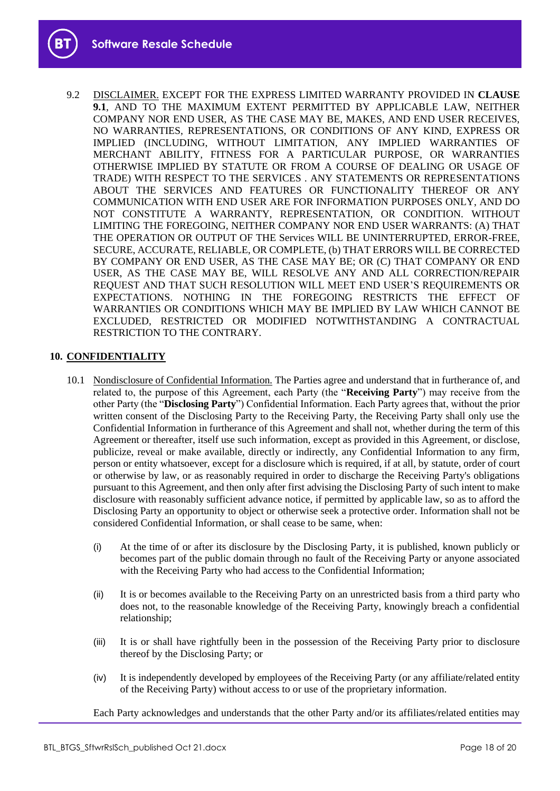9.2 DISCLAIMER. EXCEPT FOR THE EXPRESS LIMITED WARRANTY PROVIDED IN **CLAUSE 9.1**, AND TO THE MAXIMUM EXTENT PERMITTED BY APPLICABLE LAW, NEITHER COMPANY NOR END USER, AS THE CASE MAY BE, MAKES, AND END USER RECEIVES, NO WARRANTIES, REPRESENTATIONS, OR CONDITIONS OF ANY KIND, EXPRESS OR IMPLIED (INCLUDING, WITHOUT LIMITATION, ANY IMPLIED WARRANTIES OF MERCHANT ABILITY, FITNESS FOR A PARTICULAR PURPOSE, OR WARRANTIES OTHERWISE IMPLIED BY STATUTE OR FROM A COURSE OF DEALING OR USAGE OF TRADE) WITH RESPECT TO THE SERVICES . ANY STATEMENTS OR REPRESENTATIONS ABOUT THE SERVICES AND FEATURES OR FUNCTIONALITY THEREOF OR ANY COMMUNICATION WITH END USER ARE FOR INFORMATION PURPOSES ONLY, AND DO NOT CONSTITUTE A WARRANTY, REPRESENTATION, OR CONDITION. WITHOUT LIMITING THE FOREGOING, NEITHER COMPANY NOR END USER WARRANTS: (A) THAT THE OPERATION OR OUTPUT OF THE Services WILL BE UNINTERRUPTED, ERROR-FREE, SECURE, ACCURATE, RELIABLE, OR COMPLETE, (b) THAT ERRORS WILL BE CORRECTED BY COMPANY OR END USER, AS THE CASE MAY BE; OR (C) THAT COMPANY OR END USER, AS THE CASE MAY BE, WILL RESOLVE ANY AND ALL CORRECTION/REPAIR REQUEST AND THAT SUCH RESOLUTION WILL MEET END USER'S REQUIREMENTS OR EXPECTATIONS. NOTHING IN THE FOREGOING RESTRICTS THE EFFECT OF WARRANTIES OR CONDITIONS WHICH MAY BE IMPLIED BY LAW WHICH CANNOT BE EXCLUDED, RESTRICTED OR MODIFIED NOTWITHSTANDING A CONTRACTUAL RESTRICTION TO THE CONTRARY.

#### **10. CONFIDENTIALITY**

- 10.1 Nondisclosure of Confidential Information. The Parties agree and understand that in furtherance of, and related to, the purpose of this Agreement, each Party (the "**Receiving Party**") may receive from the other Party (the "**Disclosing Party**") Confidential Information. Each Party agrees that, without the prior written consent of the Disclosing Party to the Receiving Party, the Receiving Party shall only use the Confidential Information in furtherance of this Agreement and shall not, whether during the term of this Agreement or thereafter, itself use such information, except as provided in this Agreement, or disclose, publicize, reveal or make available, directly or indirectly, any Confidential Information to any firm, person or entity whatsoever, except for a disclosure which is required, if at all, by statute, order of court or otherwise by law, or as reasonably required in order to discharge the Receiving Party's obligations pursuant to this Agreement, and then only after first advising the Disclosing Party of such intent to make disclosure with reasonably sufficient advance notice, if permitted by applicable law, so as to afford the Disclosing Party an opportunity to object or otherwise seek a protective order. Information shall not be considered Confidential Information, or shall cease to be same, when:
	- (i) At the time of or after its disclosure by the Disclosing Party, it is published, known publicly or becomes part of the public domain through no fault of the Receiving Party or anyone associated with the Receiving Party who had access to the Confidential Information;
	- (ii) It is or becomes available to the Receiving Party on an unrestricted basis from a third party who does not, to the reasonable knowledge of the Receiving Party, knowingly breach a confidential relationship;
	- (iii) It is or shall have rightfully been in the possession of the Receiving Party prior to disclosure thereof by the Disclosing Party; or
	- (iv) It is independently developed by employees of the Receiving Party (or any affiliate/related entity of the Receiving Party) without access to or use of the proprietary information.

Each Party acknowledges and understands that the other Party and/or its affiliates/related entities may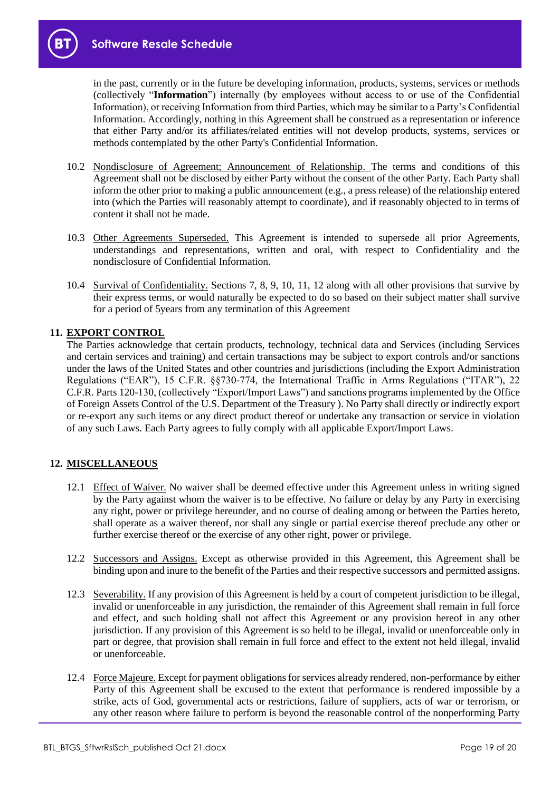in the past, currently or in the future be developing information, products, systems, services or methods (collectively "**Information**") internally (by employees without access to or use of the Confidential Information), or receiving Information from third Parties, which may be similar to a Party's Confidential Information. Accordingly, nothing in this Agreement shall be construed as a representation or inference that either Party and/or its affiliates/related entities will not develop products, systems, services or methods contemplated by the other Party's Confidential Information.

- 10.2 Nondisclosure of Agreement; Announcement of Relationship. The terms and conditions of this Agreement shall not be disclosed by either Party without the consent of the other Party. Each Party shall inform the other prior to making a public announcement (e.g., a press release) of the relationship entered into (which the Parties will reasonably attempt to coordinate), and if reasonably objected to in terms of content it shall not be made.
- 10.3 Other Agreements Superseded. This Agreement is intended to supersede all prior Agreements, understandings and representations, written and oral, with respect to Confidentiality and the nondisclosure of Confidential Information.
- 10.4 Survival of Confidentiality. Sections 7, 8, 9, 10, 11, 12 along with all other provisions that survive by their express terms, or would naturally be expected to do so based on their subject matter shall survive for a period of 5years from any termination of this Agreement

# **11. EXPORT CONTROL**

The Parties acknowledge that certain products, technology, technical data and Services (including Services and certain services and training) and certain transactions may be subject to export controls and/or sanctions under the laws of the United States and other countries and jurisdictions (including the Export Administration Regulations ("EAR"), 15 C.F.R. §§730-774, the International Traffic in Arms Regulations ("ITAR"), 22 C.F.R. Parts 120-130, (collectively "Export/Import Laws") and sanctions programs implemented by the Office of Foreign Assets Control of the U.S. Department of the Treasury ). No Party shall directly or indirectly export or re-export any such items or any direct product thereof or undertake any transaction or service in violation of any such Laws. Each Party agrees to fully comply with all applicable Export/Import Laws.

# **12. MISCELLANEOUS**

- 12.1 Effect of Waiver. No waiver shall be deemed effective under this Agreement unless in writing signed by the Party against whom the waiver is to be effective. No failure or delay by any Party in exercising any right, power or privilege hereunder, and no course of dealing among or between the Parties hereto, shall operate as a waiver thereof, nor shall any single or partial exercise thereof preclude any other or further exercise thereof or the exercise of any other right, power or privilege.
- 12.2 Successors and Assigns. Except as otherwise provided in this Agreement, this Agreement shall be binding upon and inure to the benefit of the Parties and their respective successors and permitted assigns.
- 12.3 Severability. If any provision of this Agreement is held by a court of competent jurisdiction to be illegal, invalid or unenforceable in any jurisdiction, the remainder of this Agreement shall remain in full force and effect, and such holding shall not affect this Agreement or any provision hereof in any other jurisdiction. If any provision of this Agreement is so held to be illegal, invalid or unenforceable only in part or degree, that provision shall remain in full force and effect to the extent not held illegal, invalid or unenforceable.
- 12.4 Force Majeure. Except for payment obligations for services already rendered, non-performance by either Party of this Agreement shall be excused to the extent that performance is rendered impossible by a strike, acts of God, governmental acts or restrictions, failure of suppliers, acts of war or terrorism, or any other reason where failure to perform is beyond the reasonable control of the nonperforming Party